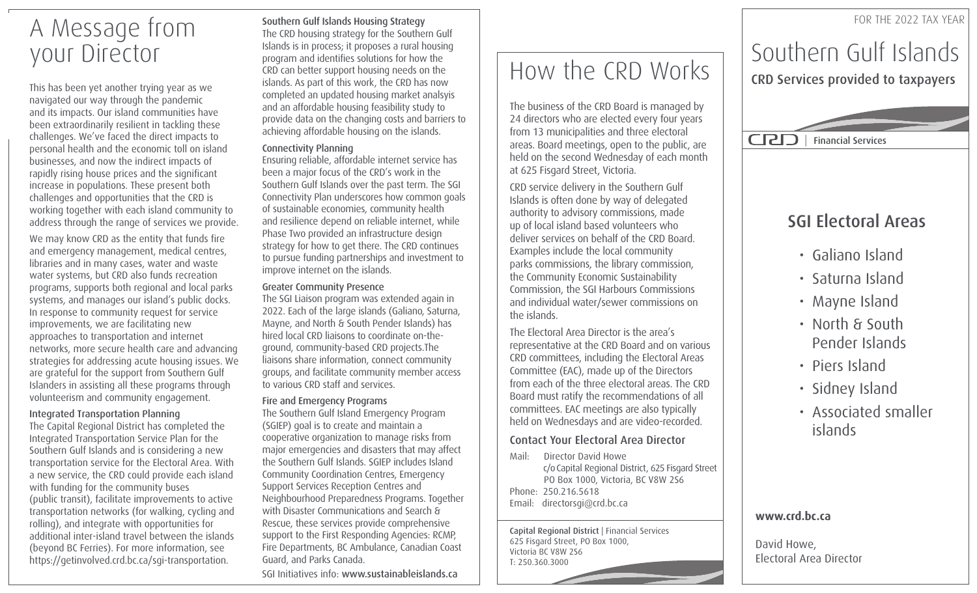## A Message from your Director

This has been yet another trying year as we navigated our way through the pandemic and its impacts. Our island communities have been extraordinarily resilient in tackling these challenges. We've faced the direct impacts to personal health and the economic toll on island businesses, and now the indirect impacts of rapidly rising house prices and the significant increase in populations. These present both challenges and opportunities that the CRD is working together with each island community to address through the range of services we provide.

We may know CRD as the entity that funds fire and emergency management, medical centres, libraries and in many cases, water and waste water systems, but CRD also funds recreation programs, supports both regional and local parks systems, and manages our island's public docks. In response to community request for service improvements, we are facilitating new approaches to transportation and internet networks, more secure health care and advancing strategies for addressing acute housing issues. We are grateful for the support from Southern Gulf Islanders in assisting all these programs through volunteerism and community engagement.

### Integrated Transportation Planning

The Capital Regional District has completed the Integrated Transportation Service Plan for the Southern Gulf Islands and is considering a new transportation service for the Electoral Area. With a new service, the CRD could provide each island with funding for the community buses (public transit), facilitate improvements to active transportation networks (for walking, cycling and rolling), and integrate with opportunities for additional inter-island travel between the islands (beyond BC Ferries). For more information, see https://getinvolved.crd.bc.ca/sgi-transportation.

Southern Gulf Islands Housing Strategy The CRD housing strategy for the Southern Gulf Islands is in process; it proposes a rural housing program and identifies solutions for how the CRD can better support housing needs on the islands. As part of this work, the CRD has now completed an updated housing market analsyis and an affordable housing feasibility study to provide data on the changing costs and barriers to achieving affordable housing on the islands.

### Connectivity Planning

Ensuring reliable, affordable internet service has been a major focus of the CRD's work in the Southern Gulf Islands over the past term. The SGI Connectivity Plan underscores how common goals of sustainable economies, community health and resilience depend on reliable internet, while Phase Two provided an infrastructure design strategy for how to get there. The CRD continues to pursue funding partnerships and investment to improve internet on the islands.

#### Greater Community Presence

The SGI Liaison program was extended again in 2022. Each of the large islands (Galiano, Saturna, Mayne, and North & South Pender Islands) has hired local CRD liaisons to coordinate on-theground, community-based CRD projects.The liaisons share information, connect community groups, and facilitate community member access to various CRD staff and services.

### Fire and Emergency Programs

The Southern Gulf Island Emergency Program (SGIEP) goal is to create and maintain a cooperative organization to manage risks from major emergencies and disasters that may affect the Southern Gulf Islands. SGIEP includes Island Community Coordination Centres, Emergency Support Services Reception Centres and Neighbourhood Preparedness Programs. Together with Disaster Communications and Search & Rescue, these services provide comprehensive support to the First Responding Agencies: RCMP, Fire Departments, BC Ambulance, Canadian Coast Guard, and Parks Canada.

SGI Initiatives info: www.sustainableislands.ca

# How the CRD Works

The business of the CRD Board is managed by 24 directors who are elected every four years from 13 municipalities and three electoral areas. Board meetings, open to the public, are held on the second Wednesday of each month at 625 Fisgard Street, Victoria.

CRD service delivery in the Southern Gulf Islands is often done by way of delegated authority to advisory commissions, made up of local island based volunteers who deliver services on behalf of the CRD Board. Examples include the local community parks commissions, the library commission, the Community Economic Sustainability Commission, the SGI Harbours Commissions and individual water/sewer commissions on the islands.

The Electoral Area Director is the area's representative at the CRD Board and on various CRD committees, including the Electoral Areas Committee (EAC), made up of the Directors from each of the three electoral areas. The CRD Board must ratify the recommendations of all committees. EAC meetings are also typically held on Wednesdays and are video-recorded.

## Contact Your Electoral Area Director

Mail: Director David Howe c/o Capital Regional District, 625 Fisgard Street PO Box 1000, Victoria, BC V8W 2S6 Phone: 250.216.5618 Email: directorsgi@crd.bc.ca

Capital Regional District | Financial Services 625 Fisgard Street, PO Box 1000, Victoria BC V8W 2S6 T: 250.360.3000

## Southern Gulf Islands CRD Services provided to taxpayers

FOR THE 2022 TAX YEAR

| Financial Services

## SGI Electoral Areas

- Galiano Island
- Saturna Island
- Mayne Island
- North & South Pender Islands
- Piers Island
- Sidney Island
- islands • Associated smaller

## **www.crd.bc.ca**

David Howe, Electoral Area Director